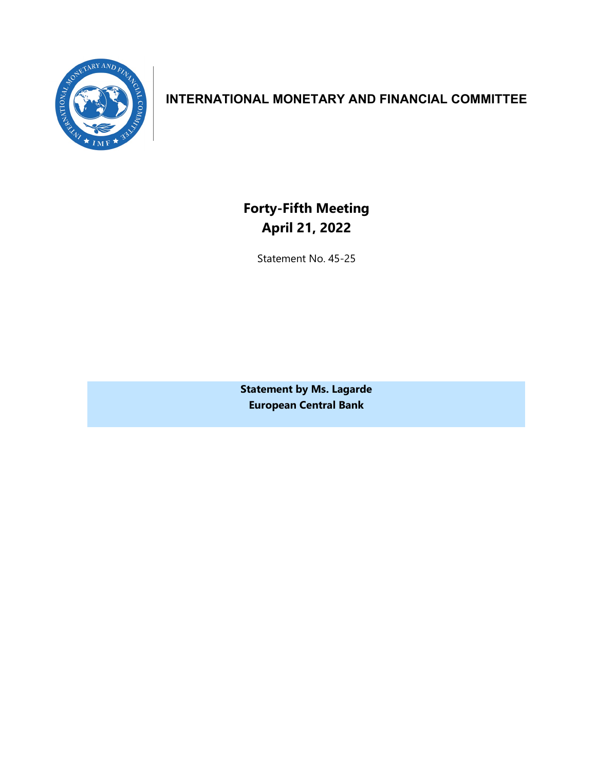

# **INTERNATIONAL MONETARY AND FINANCIAL COMMITTEE**

**Forty-Fifth Meeting April 21, 2022**

Statement No. 45-25

**Statement by Ms. Lagarde European Central Bank**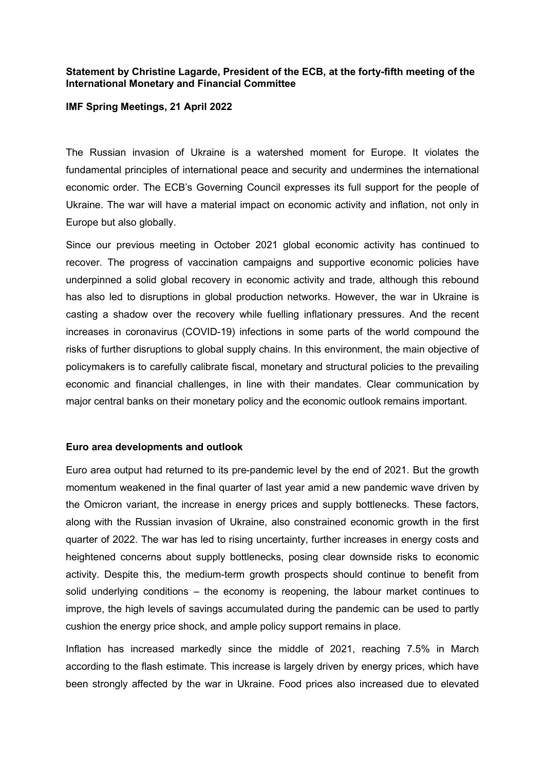## **Statement by Christine Lagarde, President of the ECB, at the forty-fifth meeting of the International Monetary and Financial Committee**

## **IMF Spring Meetings, 21 April 2022**

The Russian invasion of Ukraine is a watershed moment for Europe. It violates the fundamental principles of international peace and security and undermines the international economic order. The ECB's Governing Council expresses its full support for the people of Ukraine. The war will have a material impact on economic activity and inflation, not only in Europe but also globally.

Since our previous meeting in October 2021 global economic activity has continued to recover. The progress of vaccination campaigns and supportive economic policies have underpinned a solid global recovery in economic activity and trade, although this rebound has also led to disruptions in global production networks. However, the war in Ukraine is casting a shadow over the recovery while fuelling inflationary pressures. And the recent increases in coronavirus (COVID-19) infections in some parts of the world compound the risks of further disruptions to global supply chains. In this environment, the main objective of policymakers is to carefully calibrate fiscal, monetary and structural policies to the prevailing economic and financial challenges, in line with their mandates. Clear communication by major central banks on their monetary policy and the economic outlook remains important.

## **Euro area developments and outlook**

Euro area output had returned to its pre-pandemic level by the end of 2021. But the growth momentum weakened in the final quarter of last year amid a new pandemic wave driven by the Omicron variant, the increase in energy prices and supply bottlenecks. These factors, along with the Russian invasion of Ukraine, also constrained economic growth in the first quarter of 2022. The war has led to rising uncertainty, further increases in energy costs and heightened concerns about supply bottlenecks, posing clear downside risks to economic activity. Despite this, the medium-term growth prospects should continue to benefit from solid underlying conditions – the economy is reopening, the labour market continues to improve, the high levels of savings accumulated during the pandemic can be used to partly cushion the energy price shock, and ample policy support remains in place.

Inflation has increased markedly since the middle of 2021, reaching 7.5% in March according to the flash estimate. This increase is largely driven by energy prices, which have been strongly affected by the war in Ukraine. Food prices also increased due to elevated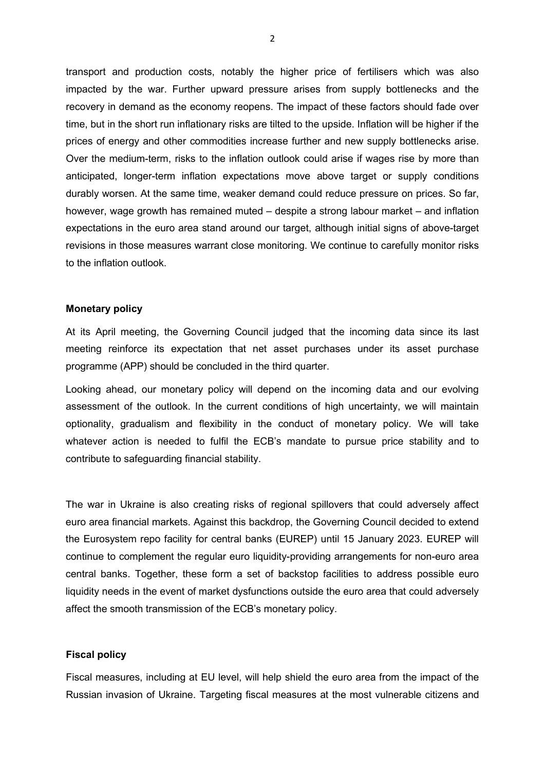transport and production costs, notably the higher price of fertilisers which was also impacted by the war. Further upward pressure arises from supply bottlenecks and the recovery in demand as the economy reopens. The impact of these factors should fade over time, but in the short run inflationary risks are tilted to the upside. Inflation will be higher if the prices of energy and other commodities increase further and new supply bottlenecks arise. Over the medium-term, risks to the inflation outlook could arise if wages rise by more than anticipated, longer-term inflation expectations move above target or supply conditions durably worsen. At the same time, weaker demand could reduce pressure on prices. So far, however, wage growth has remained muted – despite a strong labour market – and inflation expectations in the euro area stand around our target, although initial signs of above-target revisions in those measures warrant close monitoring. We continue to carefully monitor risks to the inflation outlook.

## **Monetary policy**

At its April meeting, the Governing Council judged that the incoming data since its last meeting reinforce its expectation that net asset purchases under its asset purchase programme (APP) should be concluded in the third quarter.

Looking ahead, our monetary policy will depend on the incoming data and our evolving assessment of the outlook. In the current conditions of high uncertainty, we will maintain optionality, gradualism and flexibility in the conduct of monetary policy. We will take whatever action is needed to fulfil the ECB's mandate to pursue price stability and to contribute to safeguarding financial stability.

The war in Ukraine is also creating risks of regional spillovers that could adversely affect euro area financial markets. Against this backdrop, the Governing Council decided to extend the Eurosystem repo facility for central banks (EUREP) until 15 January 2023. EUREP will continue to complement the regular euro liquidity-providing arrangements for non-euro area central banks. Together, these form a set of backstop facilities to address possible euro liquidity needs in the event of market dysfunctions outside the euro area that could adversely affect the smooth transmission of the ECB's monetary policy.

## **Fiscal policy**

Fiscal measures, including at EU level, will help shield the euro area from the impact of the Russian invasion of Ukraine. Targeting fiscal measures at the most vulnerable citizens and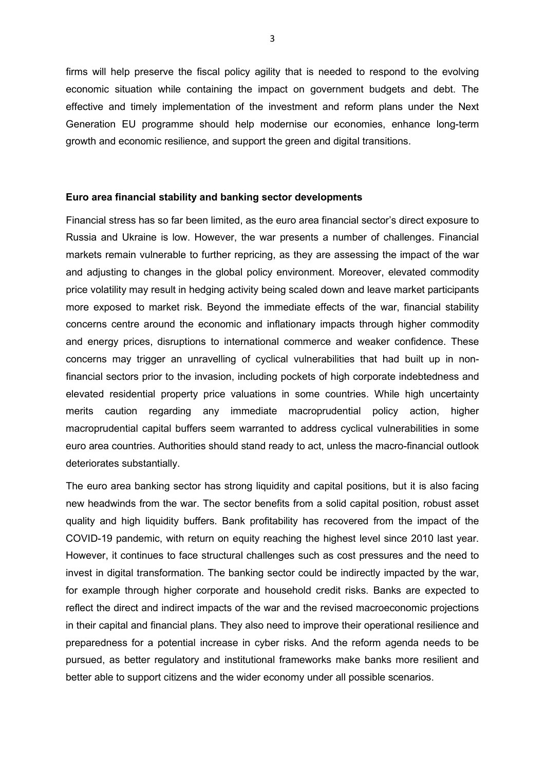firms will help preserve the fiscal policy agility that is needed to respond to the evolving economic situation while containing the impact on government budgets and debt. The effective and timely implementation of the investment and reform plans under the Next Generation EU programme should help modernise our economies, enhance long-term growth and economic resilience, and support the green and digital transitions.

#### **Euro area financial stability and banking sector developments**

Financial stress has so far been limited, as the euro area financial sector's direct exposure to Russia and Ukraine is low. However, the war presents a number of challenges. Financial markets remain vulnerable to further repricing, as they are assessing the impact of the war and adjusting to changes in the global policy environment. Moreover, elevated commodity price volatility may result in hedging activity being scaled down and leave market participants more exposed to market risk. Beyond the immediate effects of the war, financial stability concerns centre around the economic and inflationary impacts through higher commodity and energy prices, disruptions to international commerce and weaker confidence. These concerns may trigger an unravelling of cyclical vulnerabilities that had built up in nonfinancial sectors prior to the invasion, including pockets of high corporate indebtedness and elevated residential property price valuations in some countries. While high uncertainty merits caution regarding any immediate macroprudential policy action, higher macroprudential capital buffers seem warranted to address cyclical vulnerabilities in some euro area countries. Authorities should stand ready to act, unless the macro-financial outlook deteriorates substantially.

The euro area banking sector has strong liquidity and capital positions, but it is also facing new headwinds from the war. The sector benefits from a solid capital position, robust asset quality and high liquidity buffers. Bank profitability has recovered from the impact of the COVID-19 pandemic, with return on equity reaching the highest level since 2010 last year. However, it continues to face structural challenges such as cost pressures and the need to invest in digital transformation. The banking sector could be indirectly impacted by the war, for example through higher corporate and household credit risks. Banks are expected to reflect the direct and indirect impacts of the war and the revised macroeconomic projections in their capital and financial plans. They also need to improve their operational resilience and preparedness for a potential increase in cyber risks. And the reform agenda needs to be pursued, as better regulatory and institutional frameworks make banks more resilient and better able to support citizens and the wider economy under all possible scenarios.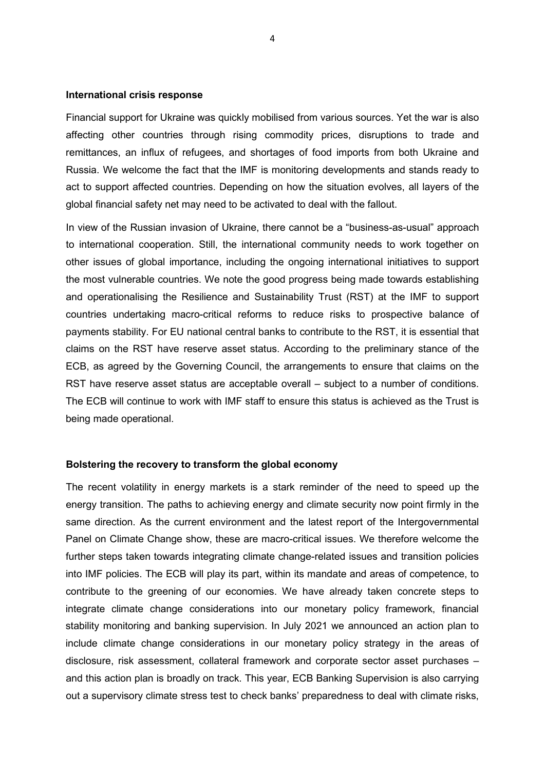## **International crisis response**

Financial support for Ukraine was quickly mobilised from various sources. Yet the war is also affecting other countries through rising commodity prices, disruptions to trade and remittances, an influx of refugees, and shortages of food imports from both Ukraine and Russia. We welcome the fact that the IMF is monitoring developments and stands ready to act to support affected countries. Depending on how the situation evolves, all layers of the global financial safety net may need to be activated to deal with the fallout.

In view of the Russian invasion of Ukraine, there cannot be a "business-as-usual" approach to international cooperation. Still, the international community needs to work together on other issues of global importance, including the ongoing international initiatives to support the most vulnerable countries. We note the good progress being made towards establishing and operationalising the Resilience and Sustainability Trust (RST) at the IMF to support countries undertaking macro-critical reforms to reduce risks to prospective balance of payments stability. For EU national central banks to contribute to the RST, it is essential that claims on the RST have reserve asset status. According to the preliminary stance of the ECB, as agreed by the Governing Council, the arrangements to ensure that claims on the RST have reserve asset status are acceptable overall – subject to a number of conditions. The ECB will continue to work with IMF staff to ensure this status is achieved as the Trust is being made operational.

#### **Bolstering the recovery to transform the global economy**

The recent volatility in energy markets is a stark reminder of the need to speed up the energy transition. The paths to achieving energy and climate security now point firmly in the same direction. As the current environment and the latest report of the Intergovernmental Panel on Climate Change show, these are macro-critical issues. We therefore welcome the further steps taken towards integrating climate change-related issues and transition policies into IMF policies. The ECB will play its part, within its mandate and areas of competence, to contribute to the greening of our economies. We have already taken concrete steps to integrate climate change considerations into our monetary policy framework, financial stability monitoring and banking supervision. In July 2021 we announced an action plan to include climate change considerations in our monetary policy strategy in the areas of disclosure, risk assessment, collateral framework and corporate sector asset purchases – and this action plan is broadly on track. This year, ECB Banking Supervision is also carrying out a supervisory climate stress test to check banks' preparedness to deal with climate risks,